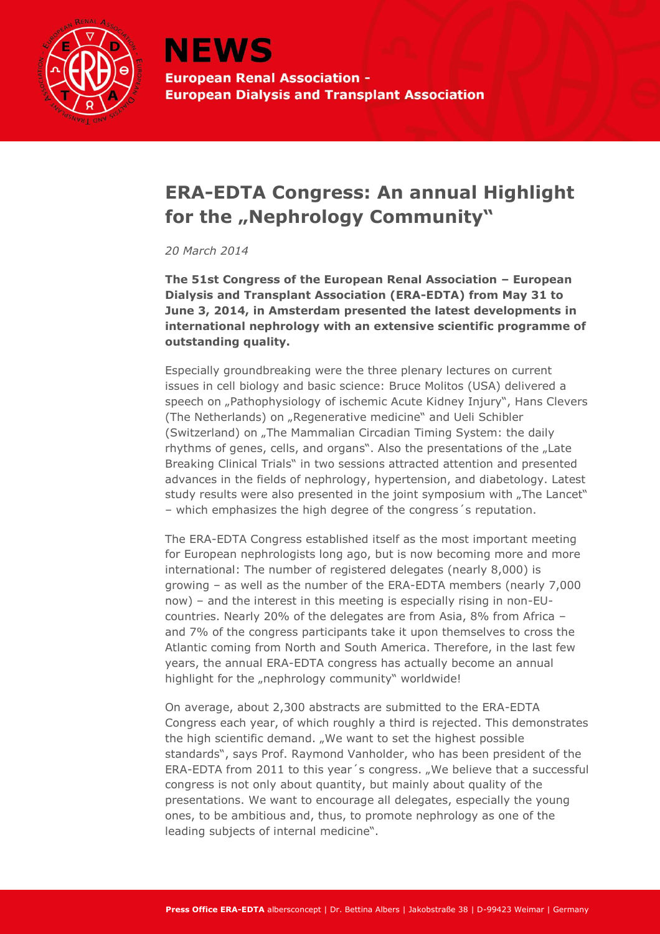

## **ERA-EDTA Congress: An annual Highlight**  for the "Nephrology Community"

*20 March 2014*

**The 51st Congress of the European Renal Association – European Dialysis and Transplant Association (ERA-EDTA) from May 31 to June 3, 2014, in Amsterdam presented the latest developments in international nephrology with an extensive scientific programme of outstanding quality.**

Especially groundbreaking were the three plenary lectures on current issues in cell biology and basic science: Bruce Molitos (USA) delivered a speech on "Pathophysiology of ischemic Acute Kidney Injury", Hans Clevers (The Netherlands) on "Regenerative medicine" and Ueli Schibler (Switzerland) on "The Mammalian Circadian Timing System: the daily rhythms of genes, cells, and organs". Also the presentations of the "Late Breaking Clinical Trials" in two sessions attracted attention and presented advances in the fields of nephrology, hypertension, and diabetology. Latest study results were also presented in the joint symposium with "The Lancet" – which emphasizes the high degree of the congress´s reputation.

The ERA-EDTA Congress established itself as the most important meeting for European nephrologists long ago, but is now becoming more and more international: The number of registered delegates (nearly 8,000) is growing – as well as the number of the ERA-EDTA members (nearly 7,000 now) – and the interest in this meeting is especially rising in non-EUcountries. Nearly 20% of the delegates are from Asia, 8% from Africa – and 7% of the congress participants take it upon themselves to cross the Atlantic coming from North and South America. Therefore, in the last few years, the annual ERA-EDTA congress has actually become an annual highlight for the "nephrology community" worldwide!

On average, about 2,300 abstracts are submitted to the ERA-EDTA Congress each year, of which roughly a third is rejected. This demonstrates the high scientific demand. "We want to set the highest possible standards", says Prof. Raymond Vanholder, who has been president of the ERA-EDTA from 2011 to this year's congress. "We believe that a successful congress is not only about quantity, but mainly about quality of the presentations. We want to encourage all delegates, especially the young ones, to be ambitious and, thus, to promote nephrology as one of the leading subjects of internal medicine".